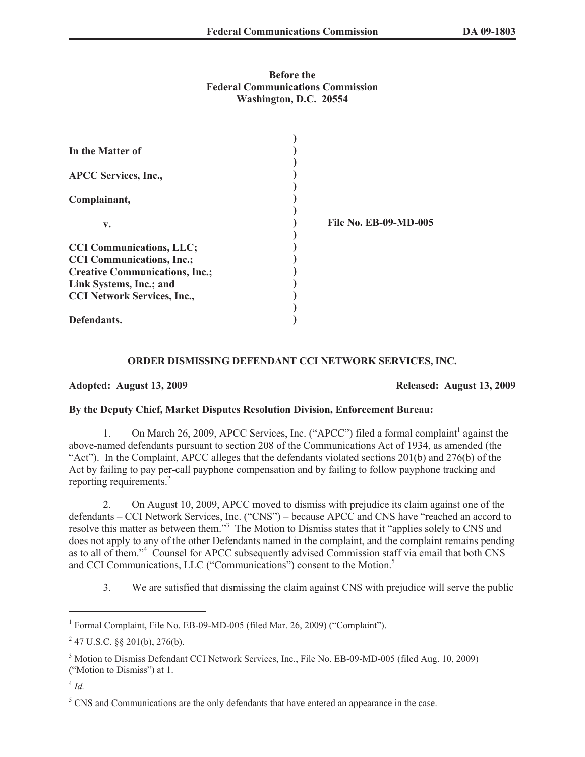## **Before the Federal Communications Commission Washington, D.C. 20554**

| In the Matter of                      |                              |
|---------------------------------------|------------------------------|
| <b>APCC Services, Inc.,</b>           |                              |
| Complainant,                          |                              |
| v.                                    | <b>File No. EB-09-MD-005</b> |
| <b>CCI Communications, LLC;</b>       |                              |
| <b>CCI Communications, Inc.;</b>      |                              |
| <b>Creative Communications, Inc.;</b> |                              |
| Link Systems, Inc.; and               |                              |
| <b>CCI Network Services, Inc.,</b>    |                              |
|                                       |                              |
| Defendants.                           |                              |

## **ORDER DISMISSING DEFENDANT CCI NETWORK SERVICES, INC.**

**Adopted: August 13, 2009 Released: August 13, 2009**

## **By the Deputy Chief, Market Disputes Resolution Division, Enforcement Bureau:**

1. On March 26, 2009, APCC Services, Inc. ("APCC") filed a formal complaint<sup>1</sup> against the above-named defendants pursuant to section 208 of the Communications Act of 1934, as amended (the "Act"). In the Complaint, APCC alleges that the defendants violated sections 201(b) and 276(b) of the Act by failing to pay per-call payphone compensation and by failing to follow payphone tracking and reporting requirements.<sup>2</sup>

2. On August 10, 2009, APCC moved to dismiss with prejudice its claim against one of the defendants – CCI Network Services, Inc. ("CNS") – because APCC and CNS have "reached an accord to resolve this matter as between them."<sup>3</sup> The Motion to Dismiss states that it "applies solely to CNS and does not apply to any of the other Defendants named in the complaint, and the complaint remains pending as to all of them."<sup>4</sup> Counsel for APCC subsequently advised Commission staff via email that both CNS and CCI Communications, LLC ("Communications") consent to the Motion.<sup>5</sup>

3. We are satisfied that dismissing the claim against CNS with prejudice will serve the public

<sup>&</sup>lt;sup>1</sup> Formal Complaint, File No. EB-09-MD-005 (filed Mar. 26, 2009) ("Complaint").

 $247$  U.S.C. §§ 201(b), 276(b).

<sup>3</sup> Motion to Dismiss Defendant CCI Network Services, Inc., File No. EB-09-MD-005 (filed Aug. 10, 2009) ("Motion to Dismiss") at 1.

<sup>4</sup> *Id.*

 $<sup>5</sup>$  CNS and Communications are the only defendants that have entered an appearance in the case.</sup>